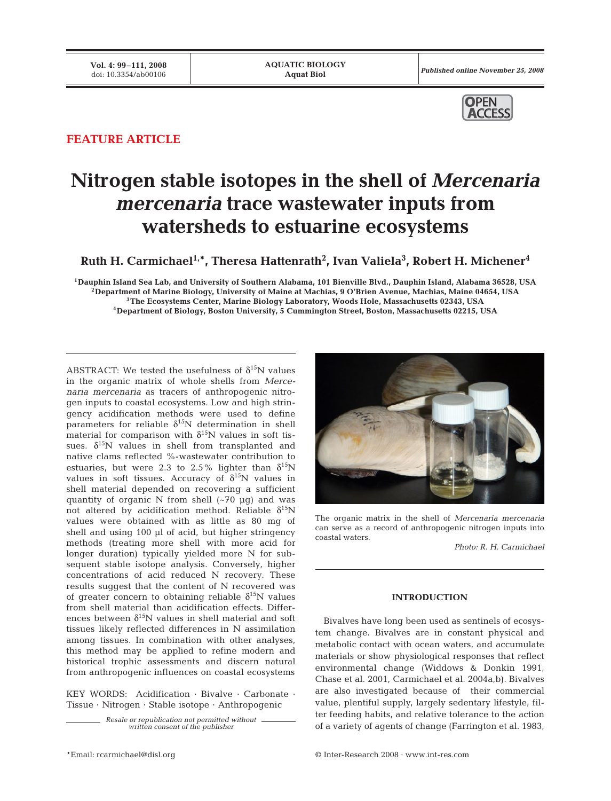Published online November 25, 2008



## **FEATURE ARTICLE**

# **Nitrogen stable isotopes in the shell of** *Mercenaria mercenaria* **trace wastewater inputs from watersheds to estuarine ecosystems**

 $\mathbf{R}$ uth H. Carmichael $^{1,\ast}$ , Theresa Hattenrath $^{2}$ , Ivan Valiela $^{3}$ , Robert H. Michener $^{4}$ 

**1Dauphin Island Sea Lab, and University of Southern Alabama, 101 Bienville Blvd., Dauphin Island, Alabama 36528, USA 2Department of Marine Biology, University of Maine at Machias, 9 O'Brien Avenue, Machias, Maine 04654, USA 3The Ecosystems Center, Marine Biology Laboratory, Woods Hole, Massachusetts 02343, USA 4Department of Biology, Boston University, 5 Cummington Street, Boston, Massachusetts 02215, USA**

ABSTRACT: We tested the usefulness of  $\delta^{15}N$  values in the organic matrix of whole shells from *Mercenaria mercenaria* as tracers of anthropogenic nitrogen inputs to coastal ecosystems. Low and high stringency acidification methods were used to define parameters for reliable  $\delta^{15}$ N determination in shell material for comparison with  $\delta^{15}N$  values in soft tissues.  $\delta^{15}$ N values in shell from transplanted and native clams reflected %-wastewater contribution to estuaries, but were 2.3 to 2.5% lighter than  $\delta^{15}N$ values in soft tissues. Accuracy of  $\delta^{15}N$  values in shell material depended on recovering a sufficient quantity of organic N from shell (~70 μg) and was not altered by acidification method. Reliable  $\delta^{15}N$ values were obtained with as little as 80 mg of shell and using 100 μl of acid, but higher stringency methods (treating more shell with more acid for longer duration) typically yielded more N for subsequent stable isotope analysis. Conversely, higher concentrations of acid reduced N recovery. These results suggest that the content of N recovered was of greater concern to obtaining reliable  $\delta^{15}$ N values from shell material than acidification effects. Differences between  $\delta^{15}N$  values in shell material and soft tissues likely reflected differences in N assimilation among tissues. In combination with other analyses, this method may be applied to refine modern and historical trophic assessments and discern natural from anthropogenic influences on coastal ecosystems

KEY WORDS: Acidification · Bivalve · Carbonate · Tissue · Nitrogen · Stable isotope · Anthropogenic

> *Resale or republication not permitted without written consent of the publisher*



The organic matrix in the shell of *Mercenaria mercenaria* can serve as a record of anthropogenic nitrogen inputs into coastal waters.

*Photo: R. H. Carmichael*

### **INTRODUCTION**

Bivalves have long been used as sentinels of ecosystem change. Bivalves are in constant physical and metabolic contact with ocean waters, and accumulate materials or show physiological responses that reflect environmental change (Widdows & Donkin 1991, Chase et al. 2001, Carmichael et al. 2004a,b). Bivalves are also investigated because of their commercial value, plentiful supply, largely sedentary lifestyle, filter feeding habits, and relative tolerance to the action of a variety of agents of change (Farrington et al. 1983,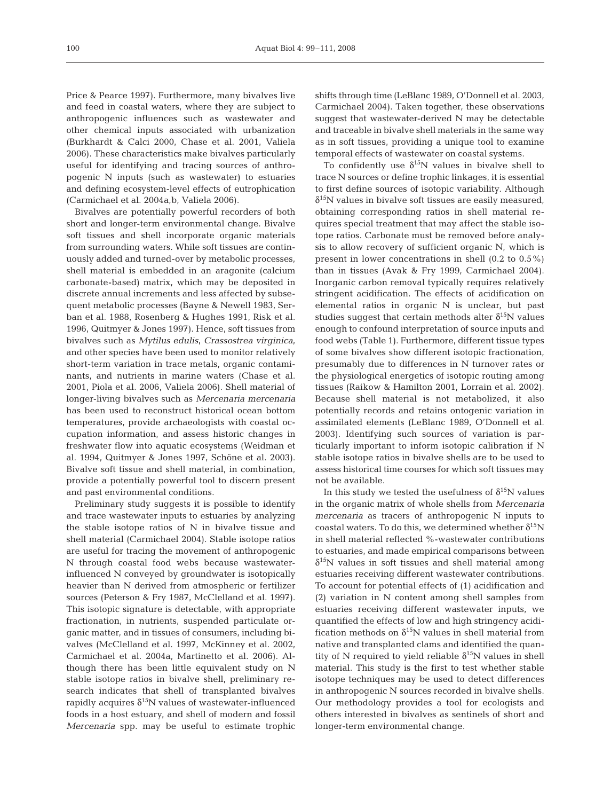Price & Pearce 1997). Furthermore, many bivalves live and feed in coastal waters, where they are subject to anthropogenic influences such as wastewater and other chemical inputs associated with urbanization (Burkhardt & Calci 2000, Chase et al. 2001, Valiela 2006). These characteristics make bivalves particularly useful for identifying and tracing sources of anthropogenic N inputs (such as wastewater) to estuaries and defining ecosystem-level effects of eutrophication (Carmichael et al. 2004a,b, Valiela 2006).

Bivalves are potentially powerful recorders of both short and longer-term environmental change. Bivalve soft tissues and shell incorporate organic materials from surrounding waters. While soft tissues are continuously added and turned-over by metabolic processes, shell material is embedded in an aragonite (calcium carbonate-based) matrix, which may be deposited in discrete annual increments and less affected by subsequent metabolic processes (Bayne & Newell 1983, Serban et al. 1988, Rosenberg & Hughes 1991, Risk et al. 1996, Quitmyer & Jones 1997). Hence, soft tissues from bivalves such as *Mytilus edulis*, *Crassostrea virginica*, and other species have been used to monitor relatively short-term variation in trace metals, organic contaminants, and nutrients in marine waters (Chase et al. 2001, Piola et al. 2006, Valiela 2006). Shell material of longer-living bivalves such as *Mercenaria mercenaria* has been used to reconstruct historical ocean bottom temperatures, provide archaeologists with coastal occupation information, and assess historic changes in freshwater flow into aquatic ecosystems (Weidman et al. 1994, Quitmyer & Jones 1997, Schöne et al. 2003). Bivalve soft tissue and shell material, in combination, provide a potentially powerful tool to discern present and past environmental conditions.

Preliminary study suggests it is possible to identify and trace wastewater inputs to estuaries by analyzing the stable isotope ratios of N in bivalve tissue and shell material (Carmichael 2004). Stable isotope ratios are useful for tracing the movement of anthropogenic N through coastal food webs because wastewaterinfluenced N conveyed by groundwater is isotopically heavier than N derived from atmospheric or fertilizer sources (Peterson & Fry 1987, McClelland et al. 1997). This isotopic signature is detectable, with appropriate fractionation, in nutrients, suspended particulate organic matter, and in tissues of consumers, including bivalves (McClelland et al. 1997, McKinney et al. 2002, Carmichael et al. 2004a, Martinetto et al. 2006). Although there has been little equivalent study on N stable isotope ratios in bivalve shell, preliminary research indicates that shell of transplanted bivalves rapidly acquires  $\delta^{15}N$  values of wastewater-influenced foods in a host estuary, and shell of modern and fossil *Mercenaria* spp. may be useful to estimate trophic

shifts through time (LeBlanc 1989, O'Donnell et al. 2003, Carmichael 2004). Taken together, these observations suggest that wastewater-derived N may be detectable and traceable in bivalve shell materials in the same way as in soft tissues, providing a unique tool to examine temporal effects of wastewater on coastal systems.

To confidently use  $\delta^{15}N$  values in bivalve shell to trace N sources or define trophic linkages, it is essential to first define sources of isotopic variability. Although  $\delta^{15}$ N values in bivalve soft tissues are easily measured, obtaining corresponding ratios in shell material requires special treatment that may affect the stable isotope ratios. Carbonate must be removed before analysis to allow recovery of sufficient organic N, which is present in lower concentrations in shell (0.2 to 0.5%) than in tissues (Avak & Fry 1999, Carmichael 2004). Inorganic carbon removal typically requires relatively stringent acidification. The effects of acidification on elemental ratios in organic N is unclear, but past studies suggest that certain methods alter  $\delta^{15}N$  values enough to confound interpretation of source inputs and food webs (Table 1). Furthermore, different tissue types of some bivalves show different isotopic fractionation, presumably due to differences in N turnover rates or the physiological energetics of isotopic routing among tissues (Raikow & Hamilton 2001, Lorrain et al. 2002). Because shell material is not metabolized, it also potentially records and retains ontogenic variation in assimilated elements (LeBlanc 1989, O'Donnell et al. 2003). Identifying such sources of variation is particularly important to inform isotopic calibration if N stable isotope ratios in bivalve shells are to be used to assess historical time courses for which soft tissues may not be available.

In this study we tested the usefulness of  $\delta^{15}N$  values in the organic matrix of whole shells from *Mercenaria mercenaria* as tracers of anthropogenic N inputs to coastal waters. To do this, we determined whether  $\delta^{15}N$ in shell material reflected %-wastewater contributions to estuaries, and made empirical comparisons between  $\delta^{15}$ N values in soft tissues and shell material among estuaries receiving different wastewater contributions. To account for potential effects of (1) acidification and (2) variation in N content among shell samples from estuaries receiving different wastewater inputs, we quantified the effects of low and high stringency acidification methods on  $\delta^{15}N$  values in shell material from native and transplanted clams and identified the quantity of N required to yield reliable  $\delta^{15}$ N values in shell material. This study is the first to test whether stable isotope techniques may be used to detect differences in anthropogenic N sources recorded in bivalve shells. Our methodology provides a tool for ecologists and others interested in bivalves as sentinels of short and longer-term environmental change.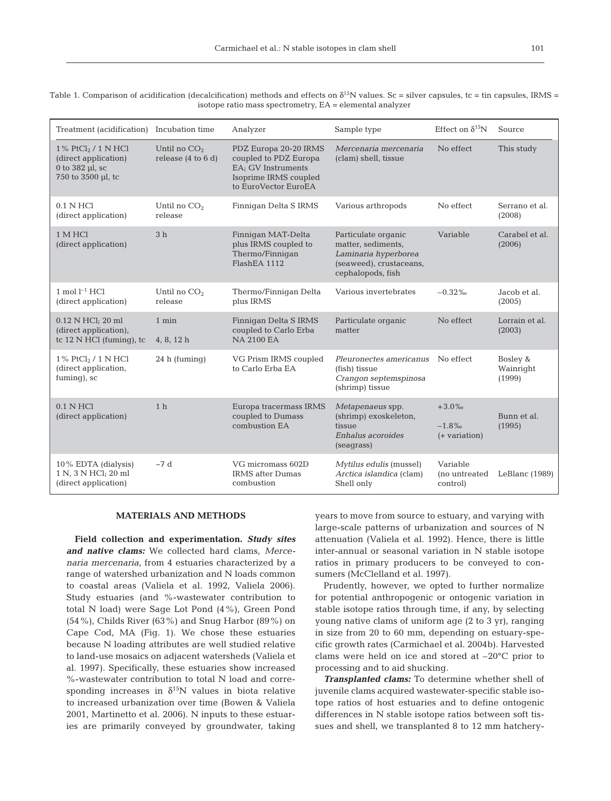|  | $\sim$ | ٦ |  |
|--|--------|---|--|
|  |        |   |  |

Treatment (acidification) Incubation time Analyzer Sample type Effect on  $\delta^{15}N$  Source  $1\%$  PtCl<sub>2</sub> /  $1$  N HCl (direct application) 0 to 382 μl, sc 750 to 3500 μl, tc  $0.1$  N HCl (direct application) 1 M HCl (direct application)  $1 \text{ mol} \; \mathrm{l}^{-1} \; \mathrm{HCl}$ (direct application) 0.12 N HCl; 20 ml (direct application), tc 12 N HCl (fuming), tc 1%  $PtCl<sub>2</sub>$  / 1 N HCl (direct application, fuming), sc 0.1 N HCl (direct application) 10% EDTA (dialysis) 1 N, 3 N HCl; 20 ml (direct application) Until no  $CO<sub>2</sub>$ release (4 to 6 d) Until no  $CO<sub>2</sub>$ release 3 h Until no  $CO<sub>2</sub>$ release 1 min 4, 8, 12 h 24 h (fuming) 1 h  $\sim$ 7 d PDZ Europa 20-20 IRMS coupled to PDZ Europa EA; GV Instruments Isoprime IRMS coupled to EuroVector EuroEA Finnigan Delta S IRMS Finnigan MAT-Delta plus IRMS coupled to Thermo/Finnigan FlashEA 1112 Thermo/Finnigan Delta plus IRMS Finnigan Delta S IRMS coupled to Carlo Erba NA 2100 EA VG Prism IRMS coupled to Carlo Erba EA Europa tracermass IRMS coupled to Dumass combustion EA VG micromass 602D IRMS after Dumas combustion *Mercenaria mercenaria* (clam) shell, tissue Various arthropods Particulate organic matter, sediments, *Laminaria hyperborea* (seaweed), crustaceans, cephalopods, fish Various invertebrates Particulate organic matter *Pleuronectes americanus* (fish) tissue *Crangon septemspinosa* (shrimp) tissue *Metapenaeus* spp. (shrimp) exoskeleton, tissue *Enhalus acoroides* (seagrass) *Mytilus edulis* (mussel) *Arctica islandica* (clam) Shell only No effect No effect Variable –0.32‰ No effect No effect +3.0‰ –1.8‰ (+ variation) Variable (no untreated control) This study Serrano et al. (2008) Carabel et al. (2006) Jacob et al. (2005) Lorrain et al. (2003) Bosley & Wainright (1999) Bunn et al. (1995) LeBlanc (1989)

Table 1. Comparison of acidification (decalcification) methods and effects on  $\delta^{15}N$  values. Sc = silver capsules, tc = tin capsules, IRMS = isotope ratio mass spectrometry, EA = elemental analyzer

#### **MATERIALS AND METHODS**

**Field collection and experimentation.** *Study sites and native clams:* We collected hard clams, *Mercenaria mercenaria*, from 4 estuaries characterized by a range of watershed urbanization and N loads common to coastal areas (Valiela et al. 1992, Valiela 2006). Study estuaries (and %-wastewater contribution to total N load) were Sage Lot Pond (4%), Green Pond (54%), Childs River (63%) and Snug Harbor (89%) on Cape Cod, MA (Fig. 1). We chose these estuaries because N loading attributes are well studied relative to land-use mosaics on adjacent watersheds (Valiela et al. 1997). Specifically, these estuaries show increased %-wastewater contribution to total N load and corresponding increases in  $\delta^{15}N$  values in biota relative to increased urbanization over time (Bowen & Valiela 2001, Martinetto et al. 2006). N inputs to these estuaries are primarily conveyed by groundwater, taking

years to move from source to estuary, and varying with large-scale patterns of urbanization and sources of N attenuation (Valiela et al. 1992). Hence, there is little inter-annual or seasonal variation in N stable isotope ratios in primary producers to be conveyed to consumers (McClelland et al. 1997).

Prudently, however, we opted to further normalize for potential anthropogenic or ontogenic variation in stable isotope ratios through time, if any, by selecting young native clams of uniform age (2 to 3 yr), ranging in size from 20 to 60 mm, depending on estuary-specific growth rates (Carmichael et al. 2004b). Harvested clams were held on ice and stored at –20°C prior to processing and to aid shucking.

*Transplanted clams:* To determine whether shell of juvenile clams acquired wastewater-specific stable isotope ratios of host estuaries and to define ontogenic differences in N stable isotope ratios between soft tissues and shell, we transplanted 8 to 12 mm hatchery-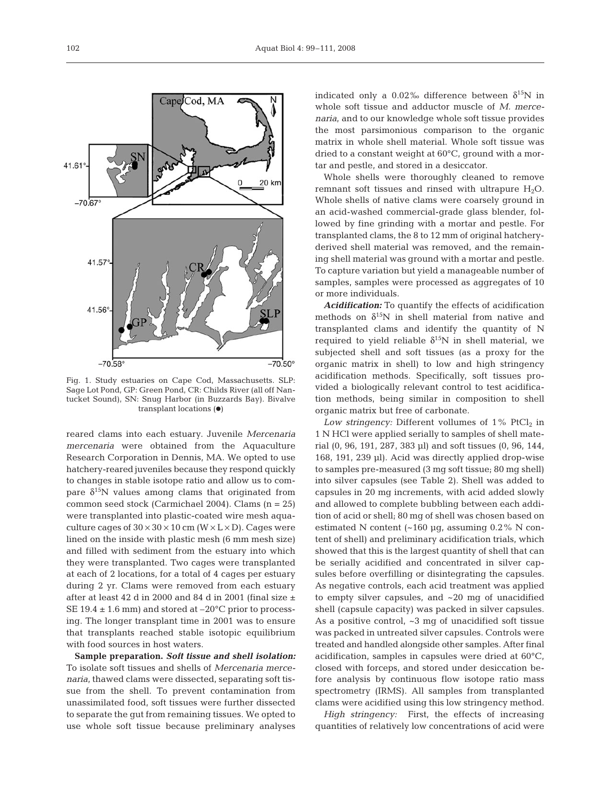

Fig. 1. Study estuaries on Cape Cod, Massachusetts. SLP: Sage Lot Pond, GP: Green Pond, CR: Childs River (all off Nantucket Sound), SN: Snug Harbor (in Buzzards Bay). Bivalve transplant locations  $(•)$ 

reared clams into each estuary. Juvenile *Mercenaria mercenaria* were obtained from the Aquaculture Research Corporation in Dennis, MA. We opted to use hatchery-reared juveniles because they respond quickly to changes in stable isotope ratio and allow us to compare  $\delta^{15}$ N values among clams that originated from common seed stock (Carmichael 2004). Clams (n = 25) were transplanted into plastic-coated wire mesh aquaculture cages of  $30 \times 30 \times 10$  cm (W  $\times$  L  $\times$  D). Cages were lined on the inside with plastic mesh (6 mm mesh size) and filled with sediment from the estuary into which they were transplanted. Two cages were transplanted at each of 2 locations, for a total of 4 cages per estuary during 2 yr. Clams were removed from each estuary after at least 42 d in 2000 and 84 d in 2001 (final size  $\pm$ SE  $19.4 \pm 1.6$  mm) and stored at  $-20^{\circ}$ C prior to processing. The longer transplant time in 2001 was to ensure that transplants reached stable isotopic equilibrium with food sources in host waters.

**Sample preparation.** *Soft tissue and shell isolation:* To isolate soft tissues and shells of *Mercenaria mercenaria*, thawed clams were dissected, separating soft tissue from the shell. To prevent contamination from unassimilated food, soft tissues were further dissected to separate the gut from remaining tissues. We opted to use whole soft tissue because preliminary analyses

indicated only a 0.02‰ difference between  $\delta^{15}N$  in whole soft tissue and adductor muscle of *M. mercenaria*, and to our knowledge whole soft tissue provides the most parsimonious comparison to the organic matrix in whole shell material. Whole soft tissue was dried to a constant weight at 60°C, ground with a mortar and pestle, and stored in a desiccator.

Whole shells were thoroughly cleaned to remove remnant soft tissues and rinsed with ultrapure  $H_2O$ . Whole shells of native clams were coarsely ground in an acid-washed commercial-grade glass blender, followed by fine grinding with a mortar and pestle. For transplanted clams, the 8 to 12 mm of original hatcheryderived shell material was removed, and the remaining shell material was ground with a mortar and pestle. To capture variation but yield a manageable number of samples, samples were processed as aggregates of 10 or more individuals.

*Acidification:* To quantify the effects of acidification methods on  $\delta^{15}N$  in shell material from native and transplanted clams and identify the quantity of N required to yield reliable  $\delta^{15}N$  in shell material, we subjected shell and soft tissues (as a proxy for the organic matrix in shell) to low and high stringency acidification methods. Specifically, soft tissues provided a biologically relevant control to test acidification methods, being similar in composition to shell organic matrix but free of carbonate.

Low stringency: Different vollumes of  $1\%$  PtCl<sub>2</sub> in 1 N HCl were applied serially to samples of shell material (0, 96, 191, 287, 383 μl) and soft tissues (0, 96, 144, 168, 191, 239 μl). Acid was directly applied drop-wise to samples pre-measured (3 mg soft tissue; 80 mg shell) into silver capsules (see Table 2). Shell was added to capsules in 20 mg increments, with acid added slowly and allowed to complete bubbling between each addition of acid or shell; 80 mg of shell was chosen based on estimated N content ( $\sim$ 160 μg, assuming 0.2% N content of shell) and preliminary acidification trials, which showed that this is the largest quantity of shell that can be serially acidified and concentrated in silver capsules before overfilling or disintegrating the capsules. As negative controls, each acid treatment was applied to empty silver capsules, and ~20 mg of unacidified shell (capsule capacity) was packed in silver capsules. As a positive control, ~3 mg of unacidified soft tissue was packed in untreated silver capsules. Controls were treated and handled alongside other samples. After final acidification, samples in capsules were dried at 60°C, closed with forceps, and stored under desiccation before analysis by continuous flow isotope ratio mass spectrometry (IRMS). All samples from transplanted clams were acidified using this low stringency method.

*High stringency:* First, the effects of increasing quantities of relatively low concentrations of acid were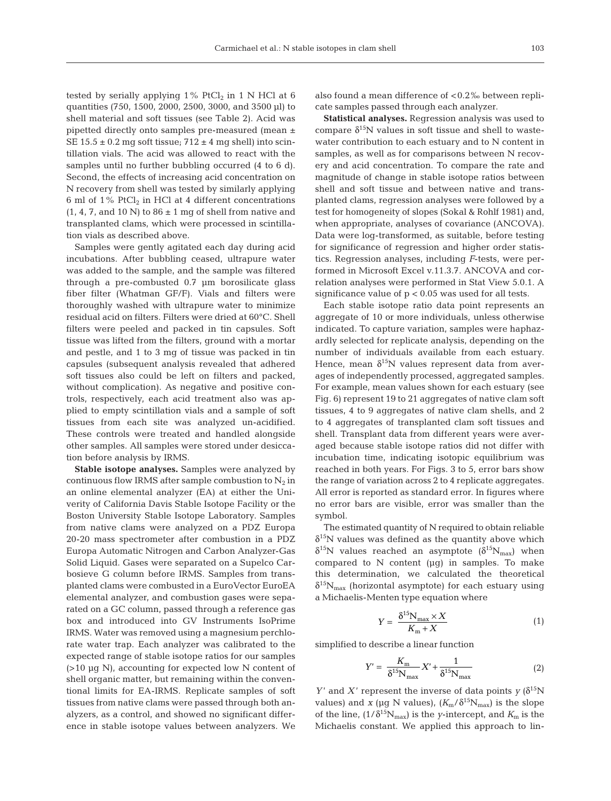tested by serially applying  $1\%$  PtCl<sub>2</sub> in 1 N HCl at 6 quantities (750, 1500, 2000, 2500, 3000, and 3500 μl) to shell material and soft tissues (see Table 2). Acid was pipetted directly onto samples pre-measured (mean ± SE  $15.5 \pm 0.2$  mg soft tissue;  $712 \pm 4$  mg shell) into scintillation vials. The acid was allowed to react with the samples until no further bubbling occurred (4 to 6 d). Second, the effects of increasing acid concentration on N recovery from shell was tested by similarly applying 6 ml of  $1\%$  PtCl<sub>2</sub> in HCl at 4 different concentrations  $(1, 4, 7,$  and  $10 \text{ N})$  to  $86 \pm 1 \text{ mg}$  of shell from native and transplanted clams, which were processed in scintillation vials as described above.

Samples were gently agitated each day during acid incubations. After bubbling ceased, ultrapure water was added to the sample, and the sample was filtered through a pre-combusted 0.7 μm borosilicate glass fiber filter (Whatman GF/F). Vials and filters were thoroughly washed with ultrapure water to minimize residual acid on filters. Filters were dried at 60°C. Shell filters were peeled and packed in tin capsules. Soft tissue was lifted from the filters, ground with a mortar and pestle, and 1 to 3 mg of tissue was packed in tin capsules (subsequent analysis revealed that adhered soft tissues also could be left on filters and packed, without complication). As negative and positive controls, respectively, each acid treatment also was applied to empty scintillation vials and a sample of soft tissues from each site was analyzed un-acidified. These controls were treated and handled alongside other samples. All samples were stored under desiccation before analysis by IRMS.

**Stable isotope analyses.** Samples were analyzed by continuous flow IRMS after sample combustion to  $N_2$  in an online elemental analyzer (EA) at either the Univerity of California Davis Stable Isotope Facility or the Boston University Stable Isotope Laboratory. Samples from native clams were analyzed on a PDZ Europa 20-20 mass spectrometer after combustion in a PDZ Europa Automatic Nitrogen and Carbon Analyzer-Gas Solid Liquid. Gases were separated on a Supelco Carbosieve G column before IRMS. Samples from transplanted clams were combusted in a EuroVector EuroEA elemental analyzer, and combustion gases were separated on a GC column, passed through a reference gas box and introduced into GV Instruments IsoPrime IRMS. Water was removed using a magnesium perchlorate water trap. Each analyzer was calibrated to the expected range of stable isotope ratios for our samples (>10 μg N), accounting for expected low N content of shell organic matter, but remaining within the conventional limits for EA-IRMS. Replicate samples of soft tissues from native clams were passed through both analyzers, as a control, and showed no significant difference in stable isotope values between analyzers. We

also found a mean difference of < 0.2‰ between replicate samples passed through each analyzer.

**Statistical analyses.** Regression analysis was used to compare  $\delta^{15}N$  values in soft tissue and shell to wastewater contribution to each estuary and to N content in samples, as well as for comparisons between N recovery and acid concentration. To compare the rate and magnitude of change in stable isotope ratios between shell and soft tissue and between native and transplanted clams, regression analyses were followed by a test for homogeneity of slopes (Sokal & Rohlf 1981) and, when appropriate, analyses of covariance (ANCOVA). Data were log-transformed, as suitable, before testing for significance of regression and higher order statistics. Regression analyses, including *F*-tests, were performed in Microsoft Excel v.11.3.7. ANCOVA and correlation analyses were performed in Stat View 5.0.1. A significance value of  $p < 0.05$  was used for all tests.

Each stable isotope ratio data point represents an aggregate of 10 or more individuals, unless otherwise indicated. To capture variation, samples were haphazardly selected for replicate analysis, depending on the number of individuals available from each estuary. Hence, mean  $\delta^{15}N$  values represent data from averages of independently processed, aggregated samples. For example, mean values shown for each estuary (see Fig. 6) represent 19 to 21 aggregates of native clam soft tissues, 4 to 9 aggregates of native clam shells, and 2 to 4 aggregates of transplanted clam soft tissues and shell. Transplant data from different years were averaged because stable isotope ratios did not differ with incubation time, indicating isotopic equilibrium was reached in both years. For Figs. 3 to 5, error bars show the range of variation across 2 to 4 replicate aggregates. All error is reported as standard error. In figures where no error bars are visible, error was smaller than the symbol.

The estimated quantity of N required to obtain reliable  $\delta^{15}$ N values was defined as the quantity above which  $\delta^{15}N$  values reached an asymptote  $(\delta^{15}N_{max})$  when compared to N content (μg) in samples. To make this determination, we calculated the theoretical  $\delta^{15}N_{\text{max}}$  (horizontal asymptote) for each estuary using a Michaelis-Menten type equation where

$$
Y = \frac{\delta^{15} N_{\text{max}} \times X}{K_{\text{m}} + X} \tag{1}
$$

simplified to describe a linear function

$$
Y' = \frac{K_{\rm m}}{\delta^{15} N_{\rm max}} X' + \frac{1}{\delta^{15} N_{\rm max}} \tag{2}
$$

*Y*' and *X*' represent the inverse of data points  $\gamma$  ( $\delta^{15}N$ values) and *x* (μg N values),  $(K_m/\delta^{15}N_{max})$  is the slope of the line,  $(1/\delta^{15}N_{\text{max}})$  is the *y*-intercept, and  $K_{\text{m}}$  is the Michaelis constant. We applied this approach to lin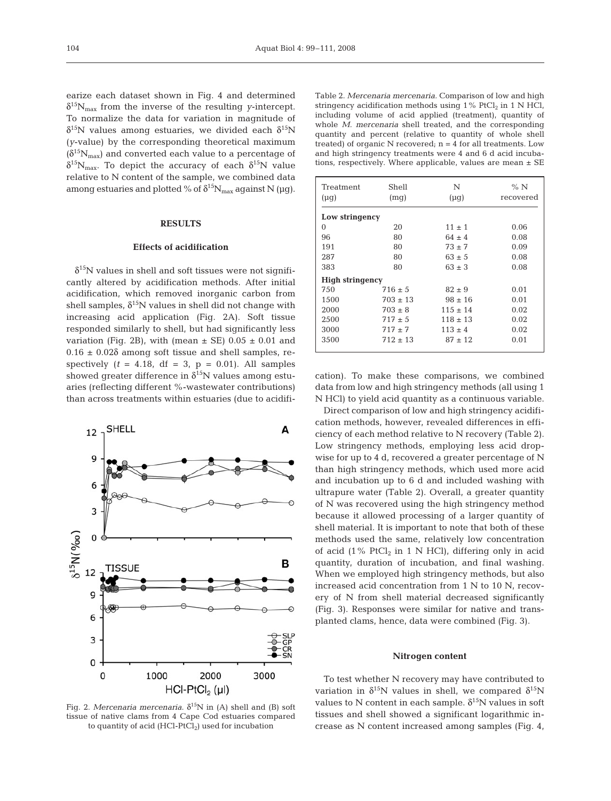earize each dataset shown in Fig. 4 and determined  $\delta^{15}N_{\text{max}}$  from the inverse of the resulting *y*-intercept. To normalize the data for variation in magnitude of δ<sup>15</sup>N values among estuaries, we divided each δ<sup>15</sup>N (*y*-value) by the corresponding theoretical maximum  $(\delta^{15}N_{\text{max}})$  and converted each value to a percentage of  $\delta^{15}N_{\text{max}}$ . To depict the accuracy of each  $\delta^{15}N$  value relative to N content of the sample, we combined data among estuaries and plotted % of  $\delta^{15}N_{\text{max}}$  against N (μg).

#### **RESULTS**

#### **Effects of acidification**

 $\delta^{15}$ N values in shell and soft tissues were not significantly altered by acidification methods. After initial acidification, which removed inorganic carbon from shell samples,  $\delta^{15}N$  values in shell did not change with increasing acid application (Fig. 2A). Soft tissue responded similarly to shell, but had significantly less variation (Fig. 2B), with (mean  $\pm$  SE) 0.05  $\pm$  0.01 and  $0.16 \pm 0.02\delta$  among soft tissue and shell samples, respectively  $(t = 4.18, df = 3, p = 0.01)$ . All samples showed greater difference in  $\delta^{15}N$  values among estuaries (reflecting different %-wastewater contributions) than across treatments within estuaries (due to acidifi-



Fig. 2. *Mercenaria mercenaria*.  $\delta^{15}N$  in (A) shell and (B) soft tissue of native clams from 4 Cape Cod estuaries compared to quantity of acid  $(HCl-PtCl<sub>2</sub>)$  used for incubation

Table 2. *Mercenaria mercenaria.* Comparison of low and high stringency acidification methods using  $1\%$  PtCl<sub>2</sub> in 1 N HCl, including volume of acid applied (treatment), quantity of whole *M. mercenaria* shell treated, and the corresponding quantity and percent (relative to quantity of whole shell treated) of organic  $N$  recovered;  $n = 4$  for all treatments. Low and high stringency treatments were 4 and 6 d acid incubations, respectively. Where applicable, values are mean ± SE

| Treatment<br>$(\mu q)$ | Shell<br>(mq) | N<br>$(\mu q)$ | %N<br>recovered |  |  |  |
|------------------------|---------------|----------------|-----------------|--|--|--|
| Low stringency         |               |                |                 |  |  |  |
| 0                      | 20            | $11 \pm 1$     | 0.06            |  |  |  |
| 96                     | 80            | $64 + 4$       | 0.08            |  |  |  |
| 191                    | 80            | $73 + 7$       | 0.09            |  |  |  |
| 287                    | 80            | $63 \pm 5$     | 0.08            |  |  |  |
| 383                    | 80            | $63 \pm 3$     | 0.08            |  |  |  |
| <b>High stringency</b> |               |                |                 |  |  |  |
| 750                    | $716 + 5$     | $82 \pm 9$     | 0.01            |  |  |  |
| 1500                   | $703 \pm 13$  | $.98 \pm 16$   | 0.01            |  |  |  |
| 2000                   | $703 \pm 8$   | $115 \pm 14$   | 0.02            |  |  |  |
| 2500                   | $717 \pm 5$   | $118 \pm 13$   | 0.02            |  |  |  |
| 3000                   | $717 + 7$     | $113 \pm 4$    | 0.02            |  |  |  |
| 3500                   | $712 \pm 13$  | $87 \pm 12$    | 0.01            |  |  |  |

cation). To make these comparisons, we combined data from low and high stringency methods (all using 1 N HCl) to yield acid quantity as a continuous variable.

Direct comparison of low and high stringency acidification methods, however, revealed differences in efficiency of each method relative to N recovery (Table 2). Low stringency methods, employing less acid dropwise for up to 4 d, recovered a greater percentage of N than high stringency methods, which used more acid and incubation up to 6 d and included washing with ultrapure water (Table 2). Overall, a greater quantity of N was recovered using the high stringency method because it allowed processing of a larger quantity of shell material. It is important to note that both of these methods used the same, relatively low concentration of acid (1% PtCl<sub>2</sub> in 1 N HCl), differing only in acid quantity, duration of incubation, and final washing. When we employed high stringency methods, but also increased acid concentration from 1 N to 10 N, recovery of N from shell material decreased significantly (Fig. 3). Responses were similar for native and transplanted clams, hence, data were combined (Fig. 3).

#### **Nitrogen content**

To test whether N recovery may have contributed to variation in  $\delta^{15}N$  values in shell, we compared  $\delta^{15}N$ values to N content in each sample.  $\delta^{15}N$  values in soft tissues and shell showed a significant logarithmic increase as N content increased among samples (Fig. 4,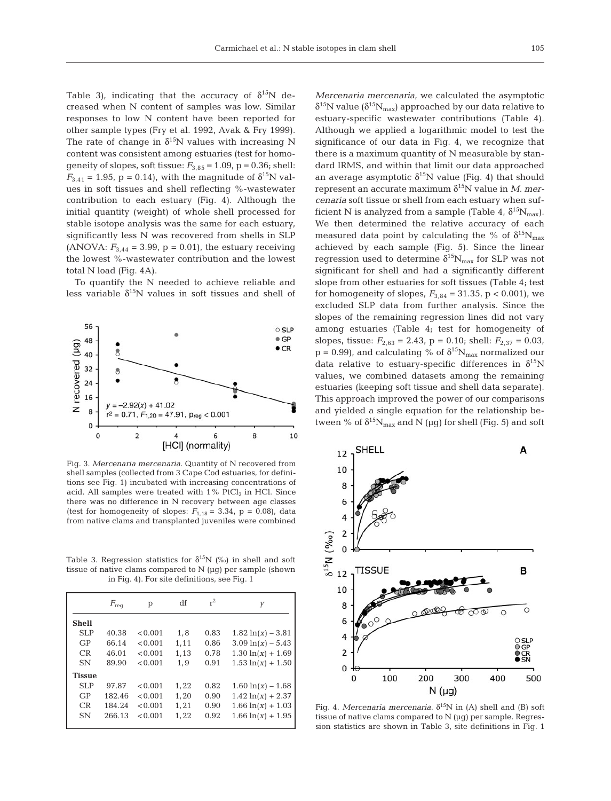Table 3), indicating that the accuracy of  $\delta^{15}N$  decreased when N content of samples was low. Similar responses to low N content have been reported for other sample types (Fry et al. 1992, Avak & Fry 1999). The rate of change in  $\delta^{15}N$  values with increasing N content was consistent among estuaries (test for homogeneity of slopes, soft tissue:  $F_{3,85} = 1.09$ ,  $p = 0.36$ ; shell:  $F_{3,41} = 1.95$ ,  $p = 0.14$ ), with the magnitude of  $\delta^{15}N$  values in soft tissues and shell reflecting %-wastewater contribution to each estuary (Fig. 4). Although the initial quantity (weight) of whole shell processed for stable isotope analysis was the same for each estuary, significantly less N was recovered from shells in SLP (ANOVA:  $F_{3,44} = 3.99$ ,  $p = 0.01$ ), the estuary receiving the lowest %-wastewater contribution and the lowest total N load (Fig. 4A).

To quantify the N needed to achieve reliable and less variable  $\delta^{15}N$  values in soft tissues and shell of



Fig. 3. *Mercenaria mercenaria*. Quantity of N recovered from shell samples (collected from 3 Cape Cod estuaries, for definitions see Fig. 1) incubated with increasing concentrations of acid. All samples were treated with  $1\%$  PtCl<sub>2</sub> in HCl. Since there was no difference in N recovery between age classes (test for homogeneity of slopes:  $F_{1,18} = 3.34$ , p = 0.08), data from native clams and transplanted juveniles were combined

Table 3. Regression statistics for  $\delta^{15}N$  (‰) in shell and soft tissue of native clams compared to N (μg) per sample (shown in Fig. 4). For site definitions, see Fig. 1

|               | $F_{\text{req}}$ | р       | df   | $r^2$ | У                    |
|---------------|------------------|---------|------|-------|----------------------|
| <b>Shell</b>  |                  |         |      |       |                      |
| SLP           | 40.38            | < 0.001 | 1.8  | 0.83  | $1.82 \ln(x) - 3.81$ |
| GP            | 66.14            | < 0.001 | 1,11 | 0.86  | $3.09 \ln(x) - 5.43$ |
| CR            | 46.01            | < 0.001 | 1.13 | 0.78  | $1.30 \ln(x) + 1.69$ |
| <b>SN</b>     | 89.90            | < 0.001 | 1.9  | 0.91  | $1.53 \ln(x) + 1.50$ |
| <b>Tissue</b> |                  |         |      |       |                      |
| SLP           | 97.87            | < 0.001 | 1,22 | 0.82  | $1.60 \ln(x) - 1.68$ |
| GP            | 182.46           | < 0.001 | 1.20 | 0.90  | $1.42 \ln(x) + 2.37$ |
| CR            | 184.24           | < 0.001 | 1.21 | 0.90  | $1.66 \ln(x) + 1.03$ |
| <b>SN</b>     | 266.13           | < 0.001 | 1,22 | 0.92  | $1.66 \ln(x) + 1.95$ |
|               |                  |         |      |       |                      |

*Mercenaria mercenaria*, we calculated the asymptotic  $\delta^{15}N$  value ( $\delta^{15}N_{max}$ ) approached by our data relative to estuary-specific wastewater contributions (Table 4). Although we applied a logarithmic model to test the significance of our data in Fig. 4, we recognize that there is a maximum quantity of N measurable by standard IRMS, and within that limit our data approached an average asymptotic  $\delta^{15}N$  value (Fig. 4) that should represent an accurate maximum  $\delta^{15}$ N value in *M. mercenaria* soft tissue or shell from each estuary when sufficient N is analyzed from a sample (Table 4,  $\delta^{15}N_{\text{max}}$ ). We then determined the relative accuracy of each measured data point by calculating the % of  $\delta^{15}N_{max}$ achieved by each sample (Fig. 5). Since the linear regression used to determine  $\delta^{15}N_{max}$  for SLP was not significant for shell and had a significantly different slope from other estuaries for soft tissues (Table 4; test for homogeneity of slopes,  $F_{3,84} = 31.35$ , p < 0.001), we excluded SLP data from further analysis. Since the slopes of the remaining regression lines did not vary among estuaries (Table 4; test for homogeneity of slopes, tissue:  $F_{2,63} = 2.43$ , p = 0.10; shell:  $F_{2,37} = 0.03$ ,  $p = 0.99$ , and calculating % of  $\delta^{15}N_{max}$  normalized our data relative to estuary-specific differences in  $\delta^{15}N$ values, we combined datasets among the remaining estuaries (keeping soft tissue and shell data separate). This approach improved the power of our comparisons and yielded a single equation for the relationship between % of  $\delta^{15}N_{\max}$  and N (µg) for shell (Fig. 5) and soft



Fig. 4. *Mercenaria mercenaria*.  $δ$ <sup>15</sup>N in (A) shell and (B) soft tissue of native clams compared to N (μg) per sample. Regression statistics are shown in Table 3, site definitions in Fig. 1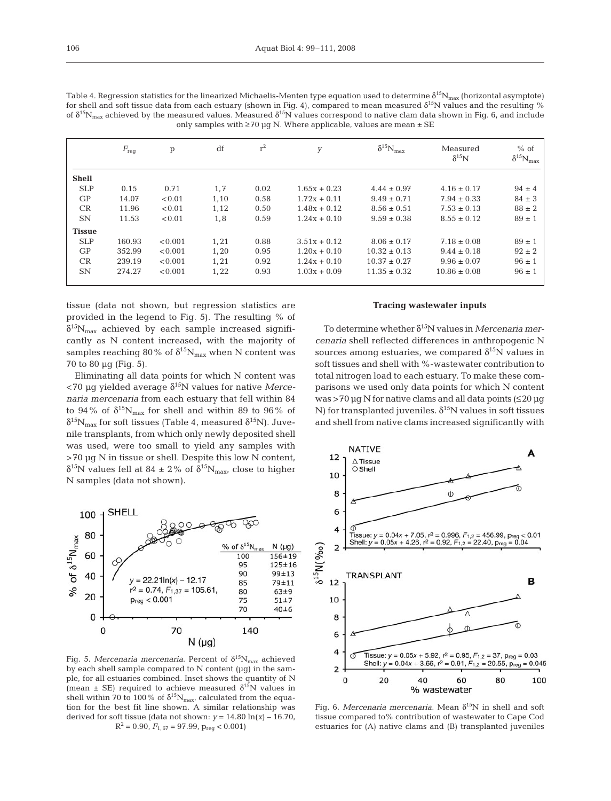| Table 4. Regression statistics for the linearized Michaelis-Menten type equation used to determine $\delta^{15}N_{max}$ (horizontal asymptote)          |
|---------------------------------------------------------------------------------------------------------------------------------------------------------|
| for shell and soft tissue data from each estuary (shown in Fig. 4), compared to mean measured $\delta^{15}N$ values and the resulting %                 |
| of $\delta^{15}N_{\rm max}$ achieved by the measured values. Measured $\delta^{15}N$ values correspond to native clam data shown in Fig. 6, and include |
| only samples with $\geq 70$ µq N. Where applicable, values are mean $\pm$ SE                                                                            |

|               | $F_{\text{req}}$ | $\mathbf{p}$ | df   | $r^2$ | y              | $\delta^{15}\rm N_{max}$ | Measured<br>$\delta^{15}N$ | $%$ of<br>$\delta^{15} N_{\rm max}$ |
|---------------|------------------|--------------|------|-------|----------------|--------------------------|----------------------------|-------------------------------------|
| <b>Shell</b>  |                  |              |      |       |                |                          |                            |                                     |
| <b>SLP</b>    | 0.15             | 0.71         | 1,7  | 0.02  | $1.65x + 0.23$ | $4.44 \pm 0.97$          | $4.16 \pm 0.17$            | $94 \pm 4$                          |
| GP            | 14.07            | < 0.01       | 1,10 | 0.58  | $1.72x + 0.11$ | $9.49 \pm 0.71$          | $7.94 \pm 0.33$            | $84 \pm 3$                          |
| CR            | 11.96            | < 0.01       | 1,12 | 0.50  | $1.48x + 0.12$ | $8.56 \pm 0.51$          | $7.53 \pm 0.13$            | $88 \pm 2$                          |
| <b>SN</b>     | 11.53            | < 0.01       | 1,8  | 0.59  | $1.24x + 0.10$ | $9.59 \pm 0.38$          | $8.55 \pm 0.12$            | $89 \pm 1$                          |
| <b>Tissue</b> |                  |              |      |       |                |                          |                            |                                     |
| <b>SLP</b>    | 160.93           | < 0.001      | 1,21 | 0.88  | $3.51x + 0.12$ | $8.06 \pm 0.17$          | $7.18 \pm 0.08$            | $89 \pm 1$                          |
| GP            | 352.99           | < 0.001      | 1.20 | 0.95  | $1.20x + 0.10$ | $10.32 \pm 0.13$         | $9.44 \pm 0.18$            | $92 \pm 2$                          |
| CR            | 239.19           | < 0.001      | 1.21 | 0.92  | $1.24x + 0.10$ | $10.37 \pm 0.27$         | $9.96 \pm 0.07$            | $96 \pm 1$                          |
| <b>SN</b>     | 274.27           | < 0.001      | 1,22 | 0.93  | $1.03x + 0.09$ | $11.35 \pm 0.32$         | $10.86 \pm 0.08$           | $96 \pm 1$                          |
|               |                  |              |      |       |                |                          |                            |                                     |

tissue (data not shown, but regression statistics are provided in the legend to Fig. 5). The resulting % of  $\delta^{15}N_{max}$  achieved by each sample increased significantly as N content increased, with the majority of samples reaching 80% of  $\delta^{15}N_{max}$  when N content was 70 to 80 μg (Fig. 5).

Eliminating all data points for which N content was <70 μg yielded average δ15N values for native *Mercenaria mercenaria* from each estuary that fell within 84 to 94% of  $\delta^{15}N_{\rm max}$  for shell and within 89 to 96% of  $\delta^{15}N_{\text{max}}$  for soft tissues (Table 4, measured  $\delta^{15}N$ ). Juvenile transplants, from which only newly deposited shell was used, were too small to yield any samples with >70 μg N in tissue or shell. Despite this low N content, δ<sup>15</sup>N values fell at 84 ± 2% of  $\delta^{15}N_{\text{max}}$ , close to higher N samples (data not shown).



Fig. 5. *Mercenaria mercenaria*. Percent of  $\delta^{15}N_{max}$  achieved by each shell sample compared to N content (μg) in the sample, for all estuaries combined. Inset shows the quantity of N (mean  $\pm$  SE) required to achieve measured  $\delta^{15}N$  values in shell within 70 to 100% of  $\delta^{15}N_{\text{max}}$ , calculated from the equation for the best fit line shown. A similar relationship was derived for soft tissue (data not shown:  $y = 14.80 \ln(x) - 16.70$ ,  $R^2 = 0.90$ ,  $F_{1.67} = 97.99$ ,  $p_{req} < 0.001$ )

#### **Tracing wastewater inputs**

To determine whether δ15N values in *Mercenaria mercenaria* shell reflected differences in anthropogenic N sources among estuaries, we compared  $\delta^{15}N$  values in soft tissues and shell with %-wastewater contribution to total nitrogen load to each estuary. To make these comparisons we used only data points for which N content  $was > 70 \mu$ g N for native clams and all data points ( $\leq 20 \mu$ g N) for transplanted juveniles.  $\delta^{15}$ N values in soft tissues and shell from native clams increased significantly with



Fig. 6. *Mercenaria mercenaria*. Mean δ<sup>15</sup>N in shell and soft tissue compared to% contribution of wastewater to Cape Cod estuaries for (A) native clams and (B) transplanted juveniles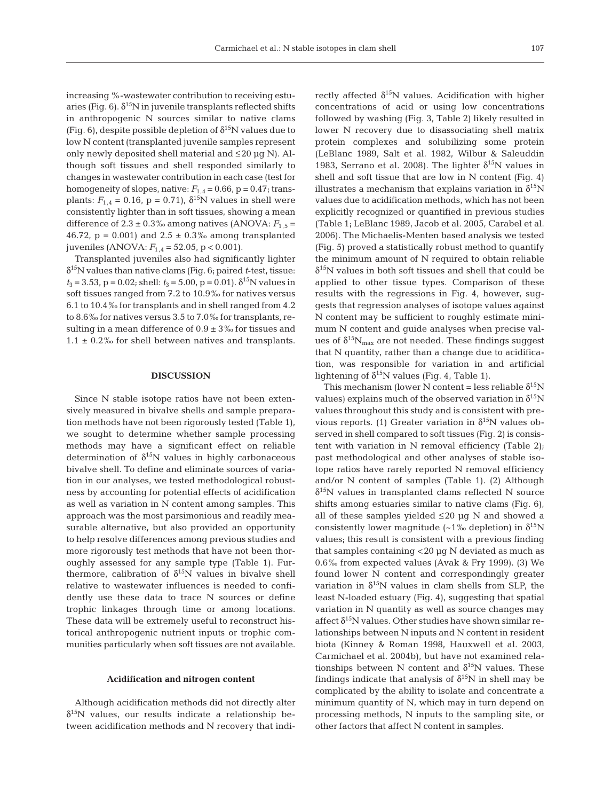increasing %-wastewater contribution to receiving estuaries (Fig. 6).  $\delta^{15}$ N in juvenile transplants reflected shifts in anthropogenic N sources similar to native clams (Fig. 6), despite possible depletion of  $\delta^{15}N$  values due to low N content (transplanted juvenile samples represent only newly deposited shell material and  $\leq$  20  $\mu$ g N). Although soft tissues and shell responded similarly to changes in wastewater contribution in each case (test for homogeneity of slopes, native:  $F_{1,4} = 0.66$ , p = 0.47; transplants:  $F_{1,4} = 0.16$ ,  $p = 0.71$ ),  $\delta^{15}$ N values in shell were consistently lighter than in soft tissues, showing a mean difference of  $2.3 \pm 0.3$ % among natives (ANOVA:  $F_{1,5}$  = 46.72,  $p = 0.001$  and  $2.5 \pm 0.3$ % among transplanted juveniles (ANOVA: *F*1,4 = 52.05, p < 0.001).

Transplanted juveniles also had significantly lighter δ15N values than native clams (Fig. 6; paired *t*-test, tissue:  $t_3 = 3.53$ ,  $p = 0.02$ ; shell:  $t_3 = 5.00$ ,  $p = 0.01$ ).  $\delta^{15}$ N values in soft tissues ranged from 7.2 to 10.9‰ for natives versus 6.1 to 10.4‰ for transplants and in shell ranged from 4.2 to 8.6‰ for natives versus 3.5 to 7.0‰ for transplants, resulting in a mean difference of  $0.9 \pm 3$ % for tissues and  $1.1 \pm 0.2\%$  for shell between natives and transplants.

#### **DISCUSSION**

Since N stable isotope ratios have not been extensively measured in bivalve shells and sample preparation methods have not been rigorously tested (Table 1), we sought to determine whether sample processing methods may have a significant effect on reliable determination of  $\delta^{15}N$  values in highly carbonaceous bivalve shell. To define and eliminate sources of variation in our analyses, we tested methodological robustness by accounting for potential effects of acidification as well as variation in N content among samples. This approach was the most parsimonious and readily measurable alternative, but also provided an opportunity to help resolve differences among previous studies and more rigorously test methods that have not been thoroughly assessed for any sample type (Table 1). Furthermore, calibration of  $\delta^{15}N$  values in bivalve shell relative to wastewater influences is needed to confidently use these data to trace N sources or define trophic linkages through time or among locations. These data will be extremely useful to reconstruct historical anthropogenic nutrient inputs or trophic communities particularly when soft tissues are not available.

#### **Acidification and nitrogen content**

Although acidification methods did not directly alter  $\delta^{15}$ N values, our results indicate a relationship between acidification methods and N recovery that indirectly affected  $\delta^{15}N$  values. Acidification with higher concentrations of acid or using low concentrations followed by washing (Fig. 3, Table 2) likely resulted in lower N recovery due to disassociating shell matrix protein complexes and solubilizing some protein (LeBlanc 1989, Salt et al. 1982, Wilbur & Saleuddin 1983, Serrano et al. 2008). The lighter  $\delta^{15}N$  values in shell and soft tissue that are low in N content (Fig. 4) illustrates a mechanism that explains variation in  $\delta^{15}N$ values due to acidification methods, which has not been explicitly recognized or quantified in previous studies (Table 1; LeBlanc 1989, Jacob et al. 2005, Carabel et al. 2006). The Michaelis-Menten based analysis we tested (Fig. 5) proved a statistically robust method to quantify the minimum amount of N required to obtain reliable  $\delta^{15}$ N values in both soft tissues and shell that could be applied to other tissue types. Comparison of these results with the regressions in Fig. 4, however, suggests that regression analyses of isotope values against N content may be sufficient to roughly estimate minimum N content and guide analyses when precise values of  $\delta^{15}N_{\text{max}}$  are not needed. These findings suggest that N quantity, rather than a change due to acidification, was responsible for variation in and artificial lightening of  $\delta^{15}N$  values (Fig. 4, Table 1).

This mechanism (lower N content = less reliable  $\delta^{15}N$ values) explains much of the observed variation in  $\delta^{15}N$ values throughout this study and is consistent with previous reports. (1) Greater variation in  $\delta^{15}N$  values observed in shell compared to soft tissues (Fig. 2) is consistent with variation in N removal efficiency (Table 2); past methodological and other analyses of stable isotope ratios have rarely reported N removal efficiency and/or N content of samples (Table 1). (2) Although  $\delta^{15}$ N values in transplanted clams reflected N source shifts among estuaries similar to native clams (Fig. 6), all of these samples yielded ≤20 μg N and showed a consistently lower magnitude (~1‰ depletion) in  $\delta^{15}N$ values; this result is consistent with a previous finding that samples containing < 20 μg N deviated as much as 0.6‰ from expected values (Avak & Fry 1999). (3) We found lower N content and correspondingly greater variation in  $\delta^{15}N$  values in clam shells from SLP, the least N-loaded estuary (Fig. 4), suggesting that spatial variation in N quantity as well as source changes may affect  $\delta^{15}N$  values. Other studies have shown similar relationships between N inputs and N content in resident biota (Kinney & Roman 1998, Hauxwell et al. 2003, Carmichael et al. 2004b), but have not examined relationships between N content and  $\delta^{15}N$  values. These findings indicate that analysis of  $\delta^{15}N$  in shell may be complicated by the ability to isolate and concentrate a minimum quantity of N, which may in turn depend on processing methods, N inputs to the sampling site, or other factors that affect N content in samples.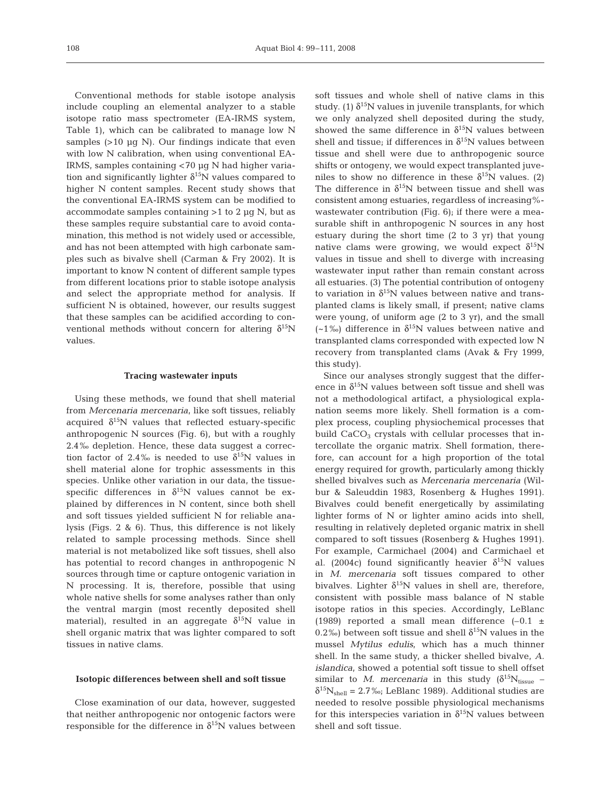Conventional methods for stable isotope analysis include coupling an elemental analyzer to a stable isotope ratio mass spectrometer (EA-IRMS system, Table 1), which can be calibrated to manage low N samples  $(>10 \text{ µq N})$ . Our findings indicate that even with low N calibration, when using conventional EA-IRMS, samples containing < 70 μg N had higher variation and significantly lighter  $\delta^{15}N$  values compared to higher N content samples. Recent study shows that the conventional EA-IRMS system can be modified to accommodate samples containing  $>1$  to 2  $\mu$ g N, but as these samples require substantial care to avoid contamination, this method is not widely used or accessible, and has not been attempted with high carbonate samples such as bivalve shell (Carman & Fry 2002). It is important to know N content of different sample types from different locations prior to stable isotope analysis and select the appropriate method for analysis. If sufficient N is obtained, however, our results suggest that these samples can be acidified according to conventional methods without concern for altering  $\delta^{15}N$ values.

#### **Tracing wastewater inputs**

Using these methods, we found that shell material from *Mercenaria mercenaria*, like soft tissues, reliably acquired  $\delta^{15}N$  values that reflected estuary-specific anthropogenic N sources (Fig. 6), but with a roughly 2.4‰ depletion. Hence, these data suggest a correction factor of 2.4‰ is needed to use  $\delta^{15}N$  values in shell material alone for trophic assessments in this species. Unlike other variation in our data, the tissuespecific differences in  $\delta^{15}N$  values cannot be explained by differences in N content, since both shell and soft tissues yielded sufficient N for reliable analysis (Figs. 2 & 6). Thus, this difference is not likely related to sample processing methods. Since shell material is not metabolized like soft tissues, shell also has potential to record changes in anthropogenic N sources through time or capture ontogenic variation in N processing. It is, therefore, possible that using whole native shells for some analyses rather than only the ventral margin (most recently deposited shell material), resulted in an aggregate  $\delta^{15}N$  value in shell organic matrix that was lighter compared to soft tissues in native clams.

#### **Isotopic differences between shell and soft tissue**

Close examination of our data, however, suggested that neither anthropogenic nor ontogenic factors were responsible for the difference in  $\delta^{15}N$  values between soft tissues and whole shell of native clams in this study. (1)  $\delta^{15}N$  values in juvenile transplants, for which we only analyzed shell deposited during the study, showed the same difference in  $\delta^{15}N$  values between shell and tissue; if differences in  $\delta^{15}N$  values between tissue and shell were due to anthropogenic source shifts or ontogeny, we would expect transplanted juveniles to show no difference in these  $\delta^{15}N$  values. (2) The difference in  $\delta^{15}N$  between tissue and shell was consistent among estuaries, regardless of increasing% wastewater contribution (Fig. 6); if there were a measurable shift in anthropogenic N sources in any host estuary during the short time (2 to 3 yr) that young native clams were growing, we would expect  $\delta^{15}N$ values in tissue and shell to diverge with increasing wastewater input rather than remain constant across all estuaries. (3) The potential contribution of ontogeny to variation in  $\delta^{15}N$  values between native and transplanted clams is likely small, if present; native clams were young, of uniform age (2 to 3 yr), and the small (~1‰) difference in  $\delta^{15}N$  values between native and transplanted clams corresponded with expected low N recovery from transplanted clams (Avak & Fry 1999, this study).

Since our analyses strongly suggest that the difference in  $\delta^{15}N$  values between soft tissue and shell was not a methodological artifact, a physiological explanation seems more likely. Shell formation is a complex process, coupling physiochemical processes that build  $CaCO<sub>3</sub>$  crystals with cellular processes that intercollate the organic matrix. Shell formation, therefore, can account for a high proportion of the total energy required for growth, particularly among thickly shelled bivalves such as *Mercenaria mercenaria* (Wilbur & Saleuddin 1983, Rosenberg & Hughes 1991). Bivalves could benefit energetically by assimilating lighter forms of N or lighter amino acids into shell, resulting in relatively depleted organic matrix in shell compared to soft tissues (Rosenberg & Hughes 1991). For example, Carmichael (2004) and Carmichael et al. (2004c) found significantly heavier  $\delta^{15}$ N values in *M. mercenaria* soft tissues compared to other bivalves. Lighter  $\delta^{15}N$  values in shell are, therefore, consistent with possible mass balance of N stable isotope ratios in this species. Accordingly, LeBlanc (1989) reported a small mean difference  $(-0.1 \pm 1)$ 0.2‰) between soft tissue and shell  $\delta^{15}N$  values in the mussel *Mytilus edulis*, which has a much thinner shell. In the same study, a thicker shelled bivalve, *A. islandica*, showed a potential soft tissue to shell offset similar to *M. mercenaria* in this study  $(\delta^{15}N_{tissue}$  –  $\delta^{15}N_{shell} = 2.7\%$ ; LeBlanc 1989). Additional studies are needed to resolve possible physiological mechanisms for this interspecies variation in  $\delta^{15}N$  values between shell and soft tissue.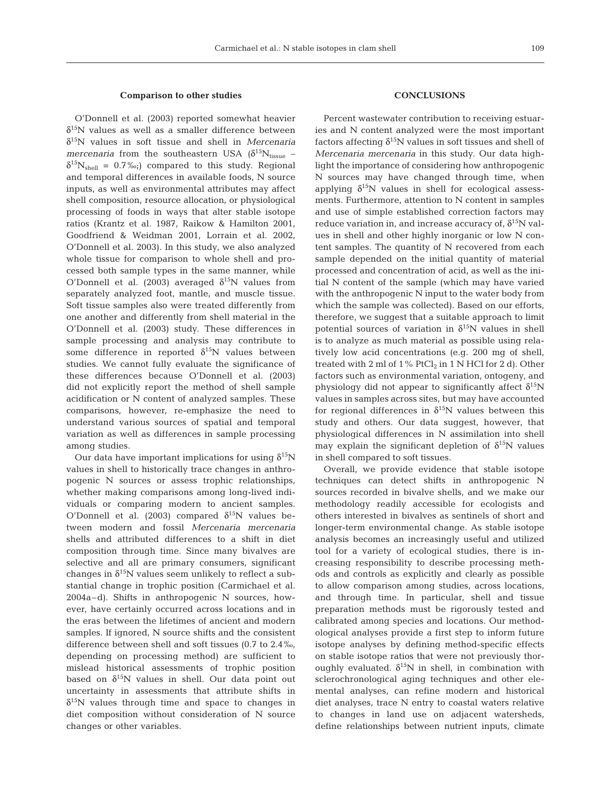#### **Comparison to other studies**

O'Donnell et al. (2003) reported somewhat heavier  $\delta^{15}$ N values as well as a smaller difference between δ15N values in soft tissue and shell in *Mercenaria mercenaria* from the southeastern USA  $(\delta^{15}N_{tissue} \delta^{15}N_{shell} = 0.7\%$ ;) compared to this study. Regional and temporal differences in available foods, N source inputs, as well as environmental attributes may affect shell composition, resource allocation, or physiological processing of foods in ways that alter stable isotope ratios (Krantz et al. 1987, Raikow & Hamilton 2001, Goodfriend & Weidman 2001, Lorrain et al. 2002, O'Donnell et al. 2003). In this study, we also analyzed whole tissue for comparison to whole shell and processed both sample types in the same manner, while O'Donnell et al. (2003) averaged  $\delta^{15}$ N values from separately analyzed foot, mantle, and muscle tissue. Soft tissue samples also were treated differently from one another and differently from shell material in the O'Donnell et al. (2003) study. These differences in sample processing and analysis may contribute to some difference in reported  $\delta^{15}N$  values between studies. We cannot fully evaluate the significance of these differences because O'Donnell et al. (2003) did not explicitly report the method of shell sample acidification or N content of analyzed samples. These comparisons, however, re-emphasize the need to understand various sources of spatial and temporal variation as well as differences in sample processing among studies.

Our data have important implications for using  $δ<sup>15</sup>N$ values in shell to historically trace changes in anthropogenic N sources or assess trophic relationships, whether making comparisons among long-lived individuals or comparing modern to ancient samples. O'Donnell et al. (2003) compared  $δ<sup>15</sup>N$  values between modern and fossil *Mercenaria mercenaria* shells and attributed differences to a shift in diet composition through time. Since many bivalves are selective and all are primary consumers, significant changes in  $\delta^{15}N$  values seem unlikely to reflect a substantial change in trophic position (Carmichael et al. 2004a–d). Shifts in anthropogenic N sources, however, have certainly occurred across locations and in the eras between the lifetimes of ancient and modern samples. If ignored, N source shifts and the consistent difference between shell and soft tissues (0.7 to 2.4‰, depending on processing method) are sufficient to mislead historical assessments of trophic position based on  $\delta^{15}N$  values in shell. Our data point out uncertainty in assessments that attribute shifts in  $\delta^{15}$ N values through time and space to changes in diet composition without consideration of N source changes or other variables.

#### **CONCLUSIONS**

Percent wastewater contribution to receiving estuaries and N content analyzed were the most important factors affecting  $\delta^{15}N$  values in soft tissues and shell of *Mercenaria mercenaria* in this study. Our data highlight the importance of considering how anthropogenic N sources may have changed through time, when applying  $\delta^{15}$ N values in shell for ecological assessments. Furthermore, attention to N content in samples and use of simple established correction factors may reduce variation in, and increase accuracy of,  $\delta^{15}N$  values in shell and other highly inorganic or low N content samples. The quantity of N recovered from each sample depended on the initial quantity of material processed and concentration of acid, as well as the initial N content of the sample (which may have varied with the anthropogenic N input to the water body from which the sample was collected). Based on our efforts, therefore, we suggest that a suitable approach to limit potential sources of variation in  $\delta^{15}N$  values in shell is to analyze as much material as possible using relatively low acid concentrations (e.g. 200 mg of shell, treated with 2 ml of  $1\%$  PtCl<sub>2</sub> in 1 N HCl for 2 d). Other factors such as environmental variation, ontogeny, and physiology did not appear to significantly affect  $\delta^{15}N$ values in samples across sites, but may have accounted for regional differences in  $\delta^{15}N$  values between this study and others. Our data suggest, however, that physiological differences in N assimilation into shell may explain the significant depletion of  $\delta^{15}N$  values in shell compared to soft tissues.

Overall, we provide evidence that stable isotope techniques can detect shifts in anthropogenic N sources recorded in bivalve shells, and we make our methodology readily accessible for ecologists and others interested in bivalves as sentinels of short and longer-term environmental change. As stable isotope analysis becomes an increasingly useful and utilized tool for a variety of ecological studies, there is increasing responsibility to describe processing methods and controls as explicitly and clearly as possible to allow comparison among studies, across locations, and through time. In particular, shell and tissue preparation methods must be rigorously tested and calibrated among species and locations. Our methodological analyses provide a first step to inform future isotope analyses by defining method-specific effects on stable isotope ratios that were not previously thoroughly evaluated.  $\delta^{15}N$  in shell, in combination with sclerochronological aging techniques and other elemental analyses, can refine modern and historical diet analyses, trace N entry to coastal waters relative to changes in land use on adjacent watersheds, define relationships between nutrient inputs, climate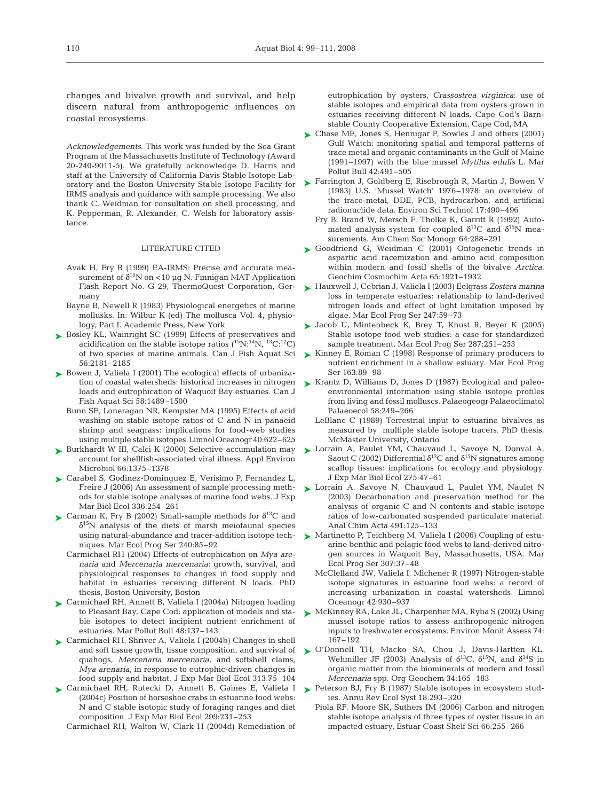changes and bivalve growth and survival, and help discern natural from anthropogenic influences on coastal ecosystems.

*Acknowledgements*. This work was funded by the Sea Grant Program of the Massachusetts Institute of Technology (Award 20-240-9011-5). We gratefully acknowledge D. Harris and staff at the University of California Davis Stable Isotope Laboratory and the Boston University Stable Isotope Facility for IRMS analysis and guidance with sample processing. We also thank C. Weidman for consultation on shell processing, and K. Pepperman, R. Alexander, C. Welsh for laboratory assistance.

#### LITERATURE CITED

- Avak H, Fry B (1999) EA-IRMS: Precise and accurate measurement of  $\delta^{15}N$  on <10 µg N. Finnigan MAT Application Flash Report No. G 29, ThermoQuest Corporation, Germany
- Bayne B, Newell R (1983) Physiological energetics of marine mollusks. In: Wilbur K (ed) The mollusca Vol. 4, physiology, Part I. Academic Press, New York
- ► Bosley KL, Wainright SC (1999) Effects of preservatives and acidification on the stable isotope ratios  $(^{15}N;^{14}N, ^{13}C;^{12}C)$ of two species of marine animals. Can J Fish Aquat Sci 56:2181–2185
- ► Bowen J, Valiela I (2001) The ecological effects of urbanization of coastal watersheds: historical increases in nitrogen loads and eutrophication of Waquoit Bay estuaries. Can J Fish Aquat Sci 58:1489–1500
	- Bunn SE, Loneragan NR, Kempster MA (1995) Effects of acid washing on stable isotope ratios of C and N in panaeid shrimp and seagrass: implications for food-web studies using multiple stable isotopes.Limnol Oceanogr 40:622–625
- ► Burkhardt W III, Calci K (2000) Selective accumulation may account for shellfish-associated viral illness. Appl Environ Microbiol 66:1375–1378
- ► Carabel S, Godinez-Dominguez E, Verisimo P, Fernandez L, Freire J (2006) An assessment of sample processing methods for stable isotope analyses of marine food webs. J Exp Mar Biol Ecol 336:254–261
- Carman K, Fry B (2002) Small-sample methods for  $\delta^{13}C$  and  $\delta^{15}$ N analysis of the diets of marsh meiofaunal species using natural-abundance and tracer-addition isotope techniques. Mar Ecol Prog Ser 240:85–92
	- Carmichael RH (2004) Effects of eutrophication on *Mya arenaria* and *Mercenaria mercenaria*: growth, survival, and physiological responses to changes in food supply and habitat in estuaries receiving different N loads. PhD thesis, Boston University, Boston
- ► Carmichael RH, Annett B, Valiela I (2004a) Nitrogen loading to Pleasant Bay, Cape Cod: application of models and stable isotopes to detect incipient nutrient enrichment of estuaries. Mar Pollut Bull 48:137–143
- ► Carmichael RH, Shriver A, Valiela I (2004b) Changes in shell and soft tissue growth, tissue composition, and survival of quahogs, *Mercenaria mercenaria*, and softshell clams, *Mya arenaria*, in response to eutrophic-driven changes in food supply and habitat. J Exp Mar Biol Ecol 313:75–104
- Carmichael RH, Rutecki D, Annett B, Gaines E, Valiela I ➤ (2004c) Position of horseshoe crabs in estuarine food webs: N and C stable isotopic study of foraging ranges and diet composition. J Exp Mar Biol Ecol 299:231–253

Carmichael RH, Walton W, Clark H (2004d) Remediation of

eutrophication by oysters, *Crassostrea virginica*: use of stable isotopes and empirical data from oysters grown in estuaries receiving different N loads. Cape Cod's Barnstable County Cooperative Extension, Cape Cod, MA

- ► Chase ME, Jones S, Hennigar P, Sowles J and others (2001) Gulf Watch: monitoring spatial and temporal patterns of trace metal and organic contaminants in the Gulf of Maine (1991–1997) with the blue mussel *Mytilus edulis* L. Mar Pollut Bull 42:491–505
- ► Farrington J, Goldberg E, Risebrough R, Martin J, Bowen V (1983) U.S. 'Mussel Watch' 1976–1978: an overview of the trace-metal, DDE, PCB, hydrocarbon, and artificial radionuclide data. Environ Sci Technol 17:490–496
	- Fry B, Brand W, Mersch F, Tholke K, Garritt R (1992) Automated analysis system for coupled  $\delta^{13}$ C and  $\delta^{15}$ N measurements. Am Chem Soc Monogr 64:288–291
- ▶ Goodfriend G, Weidman C (2001) Ontogenetic trends in aspartic acid racemization and amino acid composition within modern and fossil shells of the bivalve *Arctica*. Geochim Cosmochim Acta 65:1921–1932
- Hauxwell J, Cebrian J, Valiela I (2003) Eelgrass *Zostera marina* ➤ loss in temperate estuaries: relationship to land-derived nitrogen loads and effect of light limitation imposed by algae. Mar Ecol Prog Ser 247:59–73
- ► Jacob U, Mintenbeck K, Brey T, Knust R, Beyer K (2005) Stable isotope food web studies: a case for standardized sample treatment. Mar Ecol Prog Ser 287:251–253
- ► Kinney E, Roman C (1998) Response of primary producers to nutrient enrichment in a shallow estuary. Mar Ecol Prog Ser 163:89–98
- ► Krantz D, Williams D, Jones D (1987) Ecological and paleoenvironmental information using stable isotope profiles from living and fossil molluscs. Palaeogeogr Palaeoclimatol Palaeoecol 58:249–266
	- LeBlanc C (1989) Terrestrial input to estuarine bivalves as measured by multiple stable isotope tracers. PhD thesis, McMaster University, Ontario
- ► Lorrain A, Paulet YM, Chauvaud L, Savoye N, Donval A, Saout C (2002) Differential  $\delta^{13}$ C and  $\delta^{15}$ N signatures among scallop tissues: implications for ecology and physiology. J Exp Mar Biol Ecol 275:47–61
- ▶ Lorrain A, Savoye N, Chauvaud L, Paulet YM, Naulet N (2003) Decarbonation and preservation method for the analysis of organic C and N contents and stable isotope ratios of low-carbonated suspended particulate material. Anal Chim Acta 491:125–133
- ▶ Martinetto P, Teichberg M, Valiela I (2006) Coupling of estuarine benthic and pelagic food webs to land-derived nitrogen sources in Waquoit Bay, Massachusetts, USA. Mar Ecol Prog Ser 307:37–48
	- McClelland JW, Valiela I, Michener R (1997) Nitrogen-stable isotope signatures in estuarine food webs: a record of increasing urbanization in coastal watersheds. Limnol Oceanogr 42:930–937
- ► McKinney RA, Lake JL, Charpentier MA, Ryba S (2002) Using mussel isotope ratios to assess anthropogenic nitrogen inputs to freshwater ecosystems. Environ Monit Assess 74: 167–192
- ▶ O'Donnell TH, Macko SA, Chou J, Davis-Hartten KL, Wehmiller JF (2003) Analysis of  $\delta^{13}C$ ,  $\delta^{15}N$ , and  $\delta^{34}S$  in organic matter from the biominerals of modern and fossil *Mercenaria* spp. Org Geochem 34:165–183
- ▶ Peterson BJ, Fry B (1987) Stable isotopes in ecosystem studies. Annu Rev Ecol Syst 18:293–320
	- Piola RF, Moore SK, Suthers IM (2006) Carbon and nitrogen stable isotope analysis of three types of oyster tissue in an impacted estuary. Estuar Coast Shelf Sci 66:255–266